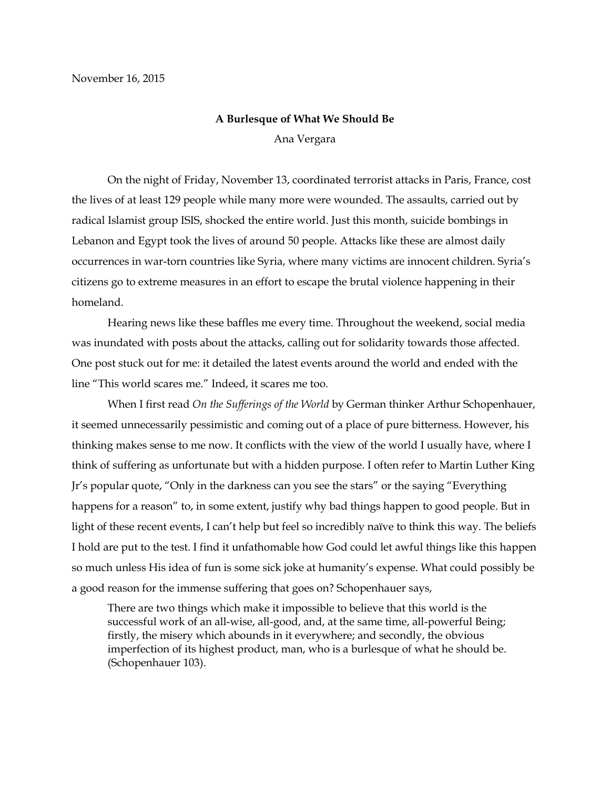## **A Burlesque of What We Should Be** Ana Vergara

On the night of Friday, November 13, coordinated terrorist attacks in Paris, France, cost the lives of at least 129 people while many more were wounded. The assaults, carried out by radical Islamist group ISIS, shocked the entire world. Just this month, suicide bombings in Lebanon and Egypt took the lives of around 50 people. Attacks like these are almost daily occurrences in war-torn countries like Syria, where many victims are innocent children. Syria's citizens go to extreme measures in an effort to escape the brutal violence happening in their homeland.

Hearing news like these baffles me every time. Throughout the weekend, social media was inundated with posts about the attacks, calling out for solidarity towards those affected. One post stuck out for me: it detailed the latest events around the world and ended with the line "This world scares me." Indeed, it scares me too.

When I first read *On the Sufferings of the World* by German thinker Arthur Schopenhauer, it seemed unnecessarily pessimistic and coming out of a place of pure bitterness. However, his thinking makes sense to me now. It conflicts with the view of the world I usually have, where I think of suffering as unfortunate but with a hidden purpose. I often refer to Martin Luther King Jr's popular quote, "Only in the darkness can you see the stars" or the saying "Everything happens for a reason" to, in some extent, justify why bad things happen to good people. But in light of these recent events, I can't help but feel so incredibly naïve to think this way. The beliefs I hold are put to the test. I find it unfathomable how God could let awful things like this happen so much unless His idea of fun is some sick joke at humanity's expense. What could possibly be a good reason for the immense suffering that goes on? Schopenhauer says,

There are two things which make it impossible to believe that this world is the successful work of an all-wise, all-good, and, at the same time, all-powerful Being; firstly, the misery which abounds in it everywhere; and secondly, the obvious imperfection of its highest product, man, who is a burlesque of what he should be. (Schopenhauer 103).